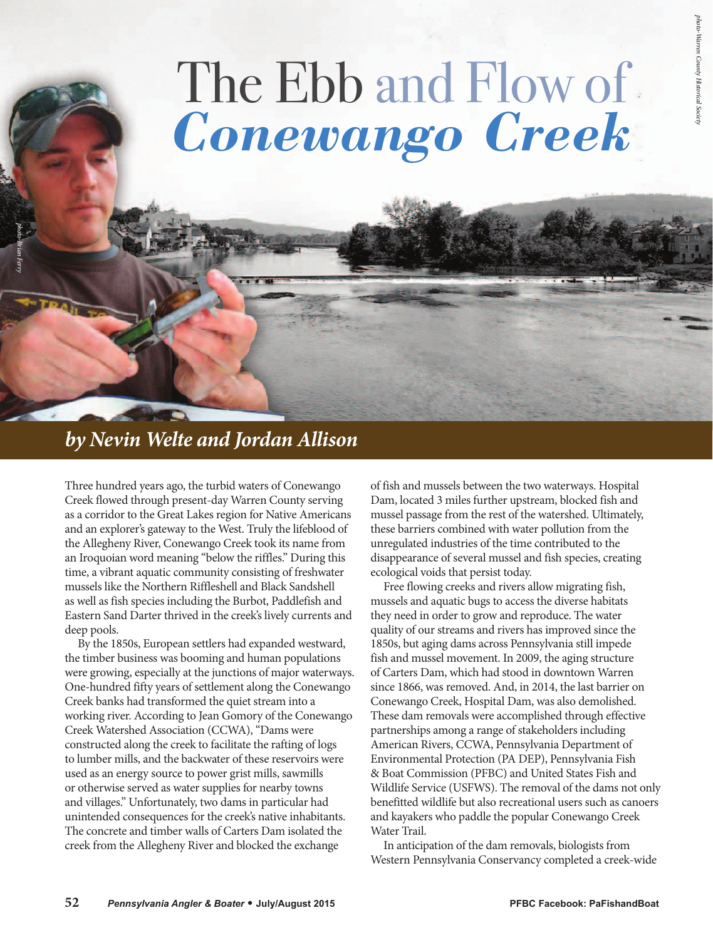## The Ebb and Flow of *Conewango Creek*

## *by Nevin Welte and Jordan Allison*

*photo-Brian Ferry*

Three hundred years ago, the turbid waters of Conewango Creek flowed through present-day Warren County serving as a corridor to the Great Lakes region for Native Americans and an explorer's gateway to the West. Truly the lifeblood of the Allegheny River, Conewango Creek took its name from an Iroquoian word meaning "below the riffles." During this time, a vibrant aquatic community consisting of freshwater mussels like the Northern Riffleshell and Black Sandshell as well as fish species including the Burbot, Paddlefish and Eastern Sand Darter thrived in the creek's lively currents and deep pools.

By the 1850s, European settlers had expanded westward, the timber business was booming and human populations were growing, especially at the junctions of major waterways. One-hundred fifty years of settlement along the Conewango Creek banks had transformed the quiet stream into a working river. According to Jean Gomory of the Conewango Creek Watershed Association (CCWA), "Dams were constructed along the creek to facilitate the rafting of logs to lumber mills, and the backwater of these reservoirs were used as an energy source to power grist mills, sawmills or otherwise served as water supplies for nearby towns and villages." Unfortunately, two dams in particular had unintended consequences for the creek's native inhabitants. The concrete and timber walls of Carters Dam isolated the creek from the Allegheny River and blocked the exchange

of fish and mussels between the two waterways. Hospital Dam, located 3 miles further upstream, blocked fish and mussel passage from the rest of the watershed. Ultimately, these barriers combined with water pollution from the unregulated industries of the time contributed to the disappearance of several mussel and fish species, creating ecological voids that persist today.

Free flowing creeks and rivers allow migrating fish, mussels and aquatic bugs to access the diverse habitats they need in order to grow and reproduce. The water quality of our streams and rivers has improved since the 1850s, but aging dams across Pennsylvania still impede fish and mussel movement. In 2009, the aging structure of Carters Dam, which had stood in downtown Warren since 1866, was removed. And, in 2014, the last barrier on Conewango Creek, Hospital Dam, was also demolished. These dam removals were accomplished through effective partnerships among a range of stakeholders including American Rivers, CCWA, Pennsylvania Department of Environmental Protection (PA DEP), Pennsylvania Fish & Boat Commission (PFBC) and United States Fish and Wildlife Service (USFWS). The removal of the dams not only benefitted wildlife but also recreational users such as canoers and kayakers who paddle the popular Conewango Creek Water Trail.

In anticipation of the dam removals, biologists from Western Pennsylvania Conservancy completed a creek-wide

*photo-Warren County Historical Society*htoto-Warren County Historical So